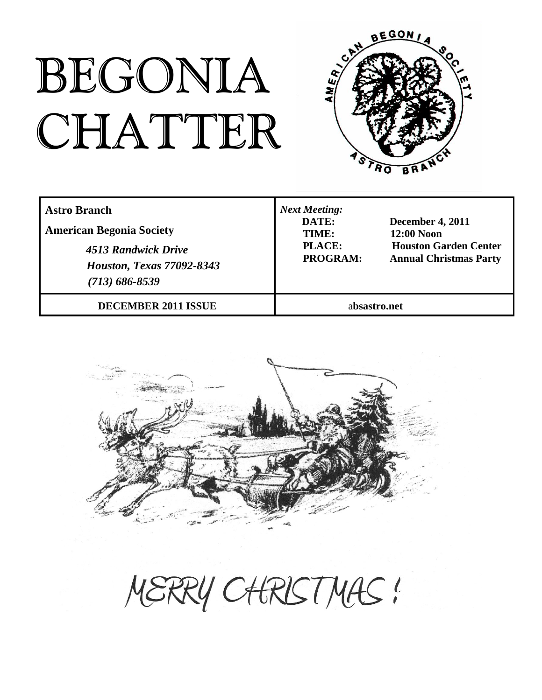# BEGONIA CHATTER



| <b>Astro Branch</b><br><b>American Begonia Society</b><br>4513 Randwick Drive<br><b>Houston, Texas 77092-8343</b><br>$(713) 686 - 8539$ | <b>Next Meeting:</b><br>DATE:<br><b>December 4, 2011</b><br><b>12:00 Noon</b><br>TIME:<br>PLACE:<br><b>Houston Garden Center</b><br>PROGRAM:<br><b>Annual Christmas Party</b> |  |
|-----------------------------------------------------------------------------------------------------------------------------------------|-------------------------------------------------------------------------------------------------------------------------------------------------------------------------------|--|
| <b>DECEMBER 2011 ISSUE</b>                                                                                                              | absastro.net                                                                                                                                                                  |  |



MERRY CHRISTMAS!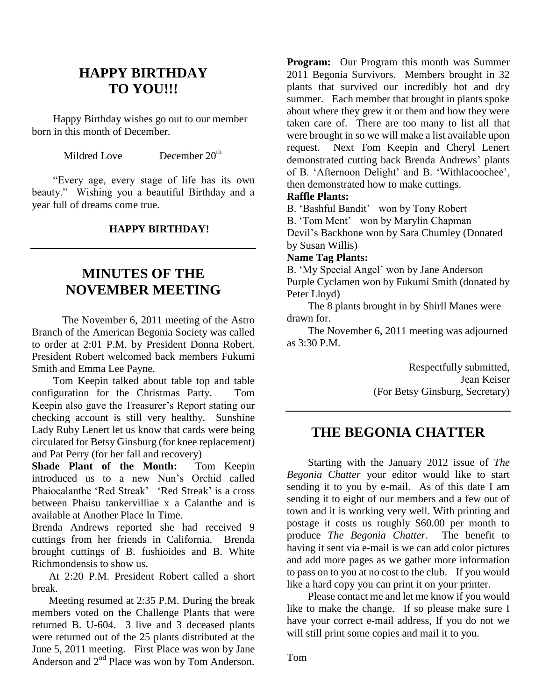### **HAPPY BIRTHDAY TO YOU!!!**

 Happy Birthday wishes go out to our member born in this month of December.

Mildred Love December 20<sup>th</sup>

 "Every age, every stage of life has its own beauty." Wishing you a beautiful Birthday and a year full of dreams come true.

#### **HAPPY BIRTHDAY!**

### **MINUTES OF THE NOVEMBER MEETING**

The November 6, 2011 meeting of the Astro Branch of the American Begonia Society was called to order at 2:01 P.M. by President Donna Robert. President Robert welcomed back members Fukumi Smith and Emma Lee Payne.

 Tom Keepin talked about table top and table configuration for the Christmas Party. Tom Keepin also gave the Treasurer's Report stating our checking account is still very healthy. Sunshine Lady Ruby Lenert let us know that cards were being circulated for Betsy Ginsburg (for knee replacement) and Pat Perry (for her fall and recovery)

**Shade Plant of the Month:** Tom Keepin introduced us to a new Nun's Orchid called Phaiocalanthe 'Red Streak' 'Red Streak' is a cross between Phaisu tankervilliae x a Calanthe and is available at Another Place In Time.

Brenda Andrews reported she had received 9 cuttings from her friends in California. Brenda brought cuttings of B. fushioides and B. White Richmondensis to show us.

 At 2:20 P.M. President Robert called a short break.

 Meeting resumed at 2:35 P.M. During the break members voted on the Challenge Plants that were returned B. U-604. 3 live and 3 deceased plants were returned out of the 25 plants distributed at the June 5, 2011 meeting. First Place was won by Jane Anderson and 2<sup>nd</sup> Place was won by Tom Anderson.

**Program:** Our Program this month was Summer 2011 Begonia Survivors. Members brought in 32 plants that survived our incredibly hot and dry summer. Each member that brought in plants spoke about where they grew it or them and how they were taken care of. There are too many to list all that were brought in so we will make a list available upon request. Next Tom Keepin and Cheryl Lenert demonstrated cutting back Brenda Andrews' plants of B. 'Afternoon Delight' and B. 'Withlacoochee', then demonstrated how to make cuttings.

#### **Raffle Plants:**

B. 'Bashful Bandit' won by Tony Robert B. 'Tom Ment' won by Marylin Chapman Devil's Backbone won by Sara Chumley (Donated by Susan Willis)

#### **Name Tag Plants:**

B. 'My Special Angel' won by Jane Anderson Purple Cyclamen won by Fukumi Smith (donated by Peter Lloyd)

 The 8 plants brought in by Shirll Manes were drawn for.

 The November 6, 2011 meeting was adjourned as  $3:30$  P.M.

> Respectfully submitted, Jean Keiser (For Betsy Ginsburg, Secretary)

#### **THE BEGONIA CHATTER**

 Starting with the January 2012 issue of *The Begonia Chatter* your editor would like to start sending it to you by e-mail. As of this date I am sending it to eight of our members and a few out of town and it is working very well. With printing and postage it costs us roughly \$60.00 per month to produce *The Begonia Chatter*. The benefit to having it sent via e-mail is we can add color pictures and add more pages as we gather more information to pass on to you at no cost to the club. If you would like a hard copy you can print it on your printer.

 Please contact me and let me know if you would like to make the change. If so please make sure I have your correct e-mail address, If you do not we will still print some copies and mail it to you.

Tom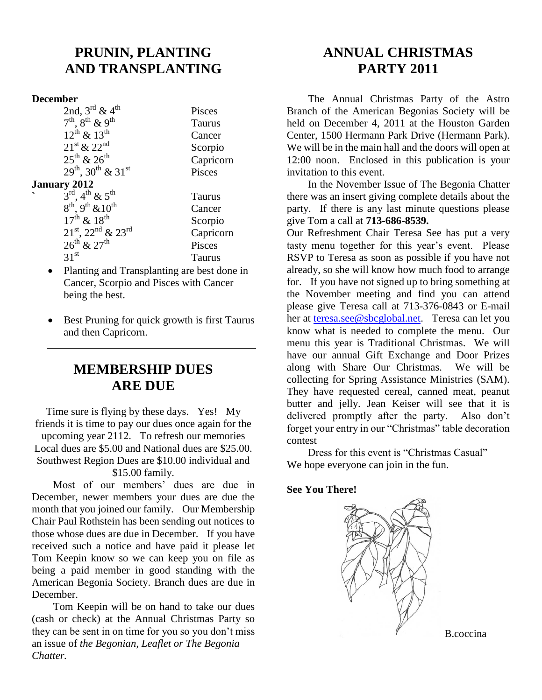## **PRUNIN, PLANTING AND TRANSPLANTING**

#### **December**

|                          | 2nd, $3^{\text{rd}}$ & $4^{\text{th}}$           | Pisces |
|--------------------------|--------------------------------------------------|--------|
|                          | $7^{th}$ , $8^{th}$ & 9 <sup>th</sup>            | Taurus |
|                          | $12^{th}$ & $13^{th}$                            | Cancer |
|                          | $21^{\rm st}$ & $22^{\rm nd}$                    | Scorpi |
|                          | $25^{th}$ & $26^{th}$                            | Capric |
|                          | $29^{th}$ , $30^{th}$ & $31^{st}$                | Pisces |
|                          | <b>January 2012</b>                              |        |
| $\overline{\phantom{0}}$ | $3^{\rm rd}$ , 4 <sup>th</sup> & 5 <sup>th</sup> | Taurus |

Cancer Scorpio Capricorn Pisces Taurus  $8<sup>th</sup>$ ,  $9<sup>th</sup>$  &  $10<sup>th</sup>$  Cancer  $17^{\text{th}}$  &  $18^{\text{th}}$  Scorpio  $21^{\text{st}}$ ,  $22^{\text{nd}}$  &  $23^{\text{rd}}$  Capricorn  $26^{th}$  &  $27^{th}$  Pisces<br>31<sup>st</sup> Taurus **Taurus** 

Taurus

- Planting and Transplanting are best done in Cancer, Scorpio and Pisces with Cancer being the best.
- Best Pruning for quick growth is first Taurus and then Capricorn.

## **MEMBERSHIP DUES ARE DUE**

Time sure is flying by these days. Yes! My friends it is time to pay our dues once again for the upcoming year 2112. To refresh our memories Local dues are \$5.00 and National dues are \$25.00. Southwest Region Dues are \$10.00 individual and \$15.00 family.

 Most of our members' dues are due in December, newer members your dues are due the month that you joined our family. Our Membership Chair Paul Rothstein has been sending out notices to those whose dues are due in December. If you have received such a notice and have paid it please let Tom Keepin know so we can keep you on file as being a paid member in good standing with the American Begonia Society. Branch dues are due in December.

 Tom Keepin will be on hand to take our dues (cash or check) at the Annual Christmas Party so they can be sent in on time for you so you don't miss an issue of *the Begonian, Leaflet or The Begonia Chatter.*

## **ANNUAL CHRISTMAS PARTY 2011**

 The Annual Christmas Party of the Astro Branch of the American Begonias Society will be held on December 4, 2011 at the Houston Garden Center, 1500 Hermann Park Drive (Hermann Park). We will be in the main hall and the doors will open at 12:00 noon. Enclosed in this publication is your invitation to this event.

 In the November Issue of The Begonia Chatter there was an insert giving complete details about the party. If there is any last minute questions please give Tom a call at **713-686-8539.**

Our Refreshment Chair Teresa See has put a very tasty menu together for this year's event. Please RSVP to Teresa as soon as possible if you have not already, so she will know how much food to arrange for. If you have not signed up to bring something at the November meeting and find you can attend please give Teresa call at 713-376-0843 or E-mail her at [teresa.see@sbcglobal.net.](mailto:teresa.see@sbcglobal.net) Teresa can let you know what is needed to complete the menu. Our menu this year is Traditional Christmas. We will have our annual Gift Exchange and Door Prizes along with Share Our Christmas. We will be collecting for Spring Assistance Ministries (SAM). They have requested cereal, canned meat, peanut butter and jelly. Jean Keiser will see that it is delivered promptly after the party. Also don't forget your entry in our "Christmas" table decoration contest

 Dress for this event is "Christmas Casual" We hope everyone can join in the fun.

#### **See You There!**



B.coccina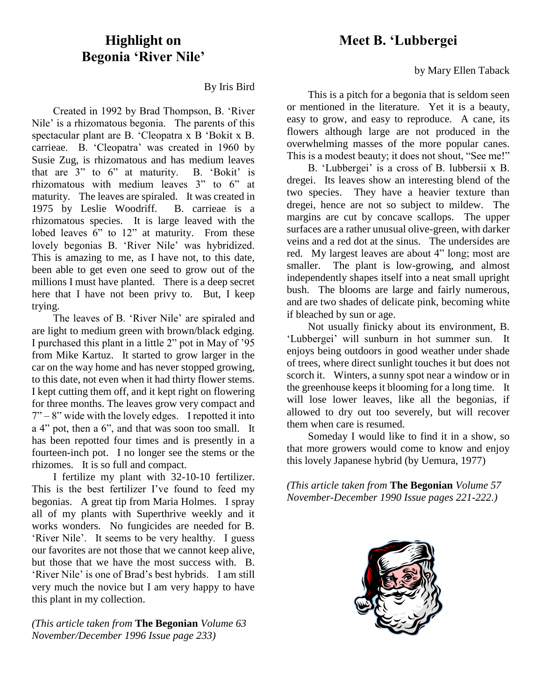### **Highlight on Begonia 'River Nile'**

By Iris Bird

 Created in 1992 by Brad Thompson, B. 'River Nile' is a rhizomatous begonia. The parents of this spectacular plant are B. 'Cleopatra x B 'Bokit x B. carrieae. B. 'Cleopatra' was created in 1960 by Susie Zug, is rhizomatous and has medium leaves that are 3" to 6" at maturity. B. 'Bokit' is rhizomatous with medium leaves 3" to 6" at maturity. The leaves are spiraled. It was created in 1975 by Leslie Woodriff. B. carrieae is a rhizomatous species. It is large leaved with the lobed leaves 6" to 12" at maturity. From these lovely begonias B. 'River Nile' was hybridized. This is amazing to me, as I have not, to this date, been able to get even one seed to grow out of the millions I must have planted. There is a deep secret here that I have not been privy to. But, I keep trying.

 The leaves of B. 'River Nile' are spiraled and are light to medium green with brown/black edging. I purchased this plant in a little 2" pot in May of '95 from Mike Kartuz. It started to grow larger in the car on the way home and has never stopped growing, to this date, not even when it had thirty flower stems. I kept cutting them off, and it kept right on flowering for three months. The leaves grow very compact and  $7 - 8$ " wide with the lovely edges. I repotted it into a 4" pot, then a 6", and that was soon too small. It has been repotted four times and is presently in a fourteen-inch pot. I no longer see the stems or the rhizomes. It is so full and compact.

 I fertilize my plant with 32-10-10 fertilizer. This is the best fertilizer I've found to feed my begonias. A great tip from Maria Holmes. I spray all of my plants with Superthrive weekly and it works wonders. No fungicides are needed for B. 'River Nile'. It seems to be very healthy. I guess our favorites are not those that we cannot keep alive, but those that we have the most success with. B. 'River Nile' is one of Brad's best hybrids. I am still very much the novice but I am very happy to have this plant in my collection.

*(This article taken from* **The Begonian** *Volume 63 November/December 1996 Issue page 233)*

## **Meet B. 'Lubbergei**

by Mary Ellen Taback

 This is a pitch for a begonia that is seldom seen or mentioned in the literature. Yet it is a beauty, easy to grow, and easy to reproduce. A cane, its flowers although large are not produced in the overwhelming masses of the more popular canes. This is a modest beauty; it does not shout, "See me!"

 B. 'Lubbergei' is a cross of B. lubbersii x B. dregei. Its leaves show an interesting blend of the two species. They have a heavier texture than dregei, hence are not so subject to mildew. The margins are cut by concave scallops. The upper surfaces are a rather unusual olive-green, with darker veins and a red dot at the sinus. The undersides are red. My largest leaves are about 4" long; most are smaller. The plant is low-growing, and almost independently shapes itself into a neat small upright bush. The blooms are large and fairly numerous, and are two shades of delicate pink, becoming white if bleached by sun or age.

 Not usually finicky about its environment, B. 'Lubbergei' will sunburn in hot summer sun. It enjoys being outdoors in good weather under shade of trees, where direct sunlight touches it but does not scorch it. Winters, a sunny spot near a window or in the greenhouse keeps it blooming for a long time. It will lose lower leaves, like all the begonias, if allowed to dry out too severely, but will recover them when care is resumed.

 Someday I would like to find it in a show, so that more growers would come to know and enjoy this lovely Japanese hybrid (by Uemura, 1977)

*(This article taken from* **The Begonian** *Volume 57 November-December 1990 Issue pages 221-222.)*